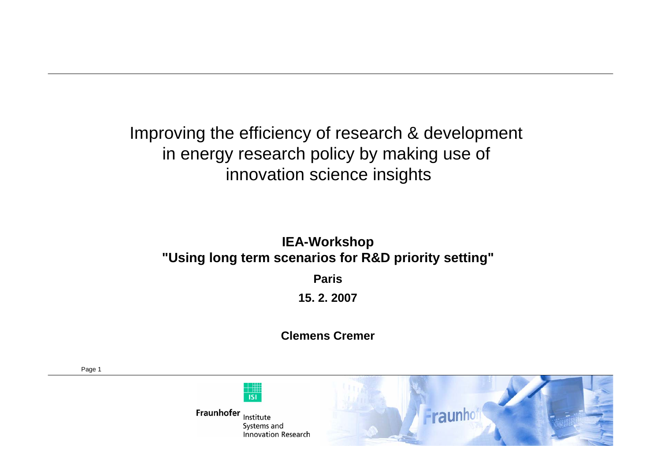Improving the efficiency of research & development in energy research policy by making use of innovation science insights

#### **IEA-Workshop "Using long term scenarios for R&D priority setting"**

**Paris**

**15. 2. 2007**

**Clemens Cremer**

Page 1

Fraunhofer Institute Systems and **Innovation Research** 

**ISI** 

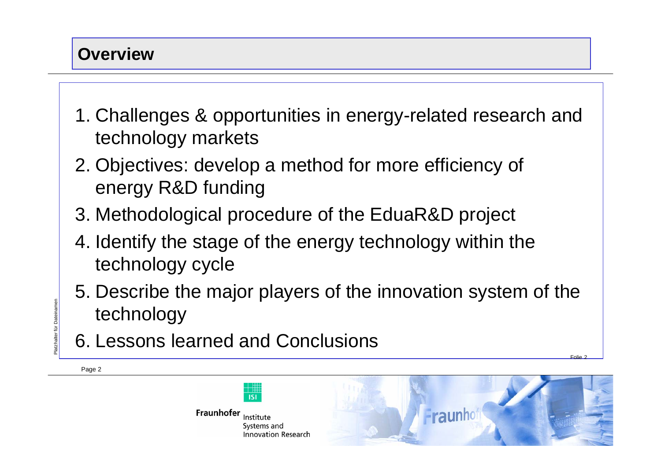#### **Overview**

- 1. Challenges & opportunities in energy-related research and technology markets
- 2. Objectives: develop a method for more efficiency of energy R&D funding
- 3. Methodological procedure of the EduaR&D project
- 4. Identify the stage of the energy technology within the technology cycle
- 5. Describe the major players of the innovation system of the technology EN THE MONDAY TECHNOLOGY<br>
EN EN LESSONS LEARNED AND CONCLUSIONS
	- 6. Lessons learned and Conclusions
	- Page 2





Folie 2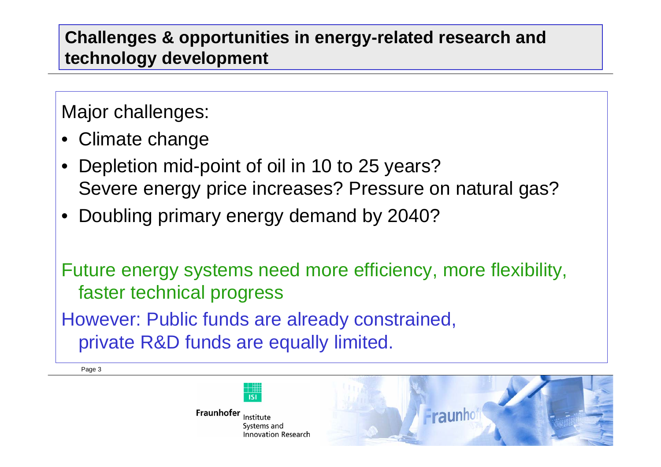#### **Challenges & opportunities in energy-related research and technology development**

Major challenges:

- Climate change
- Depletion mid-point of oil in 10 to 25 years? Severe energy price increases? Pressure on natural gas?
- Doubling primary energy demand by 2040?

Future energy systems need more efficiency, more flexibility, faster technical progress However: Public funds are already constrained,

private R&D funds are equally limited.

Page 3



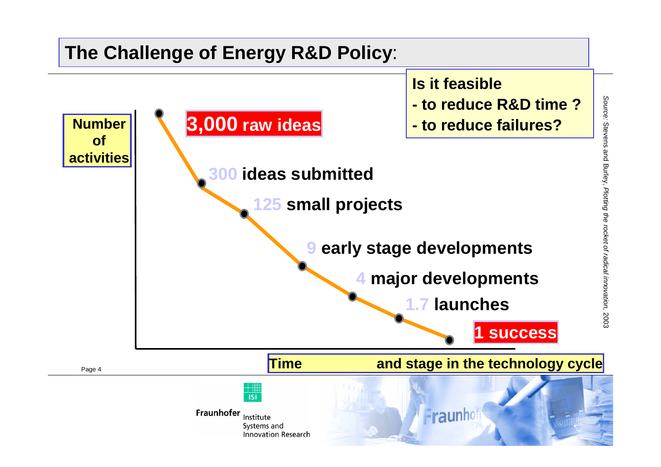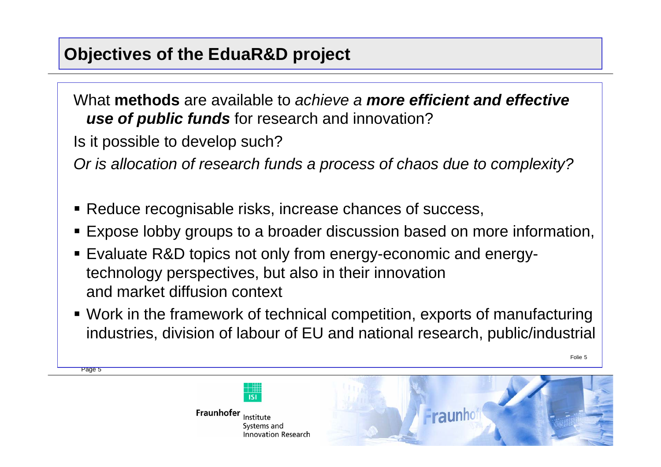#### **Objectives of the EduaR&D project**

What **methods** are available to achieve a **more efficient and effective use of public funds** for research and innovation?

Is it possible to develop such?

Page 5

Or is allocation of research funds a process of chaos due to complexity?

- Reduce recognisable risks, increase chances of success,
- Expose lobby groups to a broader discussion based on more information,
- Evaluate R&D topics not only from energy-economic and energytechnology perspectives, but also in their innovation and market diffusion context
- Work in the framework of technical competition, exports of manufacturing industries, division of labour of EU and national research, public/industrial

Folie 5



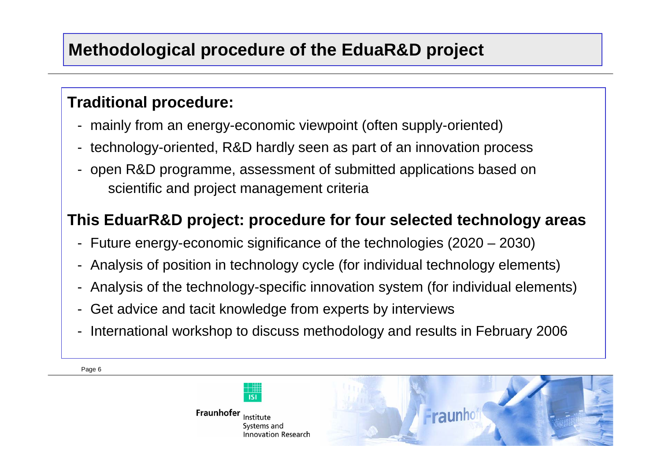### **Methodological procedure of the EduaR&D project**

#### **Traditional procedure:**

- mainly from an energy-economic viewpoint (often supply-oriented)
- technology-oriented, R&D hardly seen as part of an innovation process
- open R&D programme, assessment of submitted applications based on scientific and project management criteria

#### **This EduarR&D project: procedure for four selected technology areas**

- Future energy-economic significance of the technologies (2020 2030)
- Analysis of position in technology cycle (for individual technology elements)
- Analysis of the technology-specific innovation system (for individual elements)
- Get advice and tacit knowledge from experts by interviews
- International workshop to discuss methodology and results in February 2006

Page 6



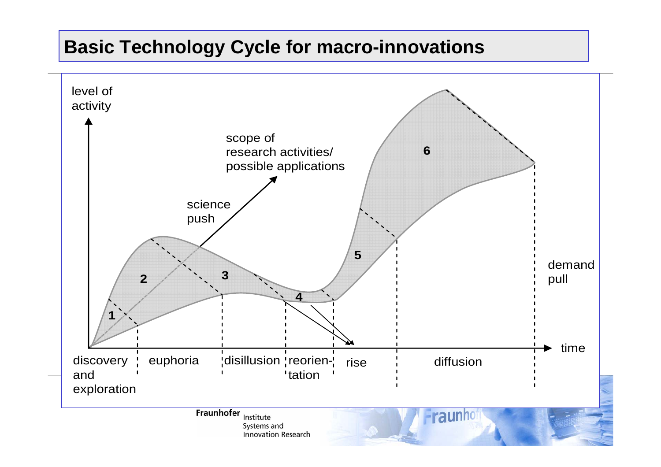#### **Basic Technology Cycle for macro-innovations**

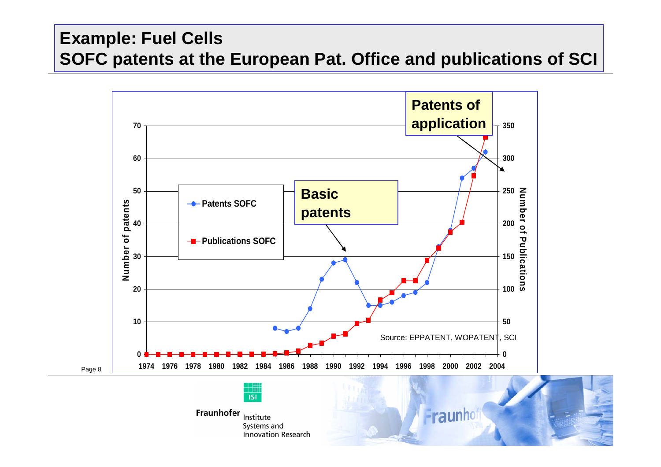#### **Example: Fuel Cells SOFC patents at the European Pat. Office and publications of SCI**

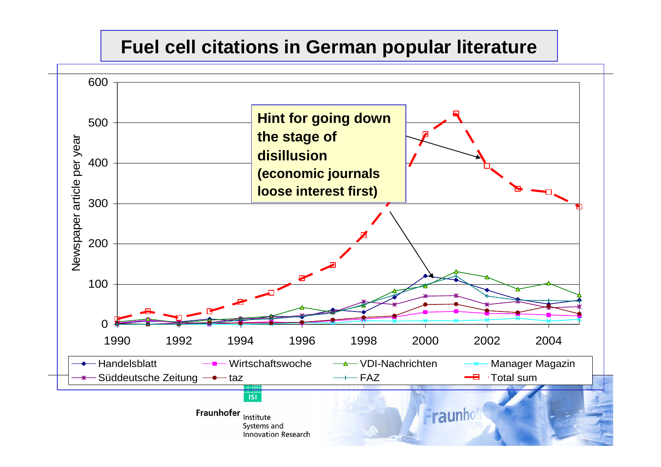### **Fuel cell citations in German popular literature**

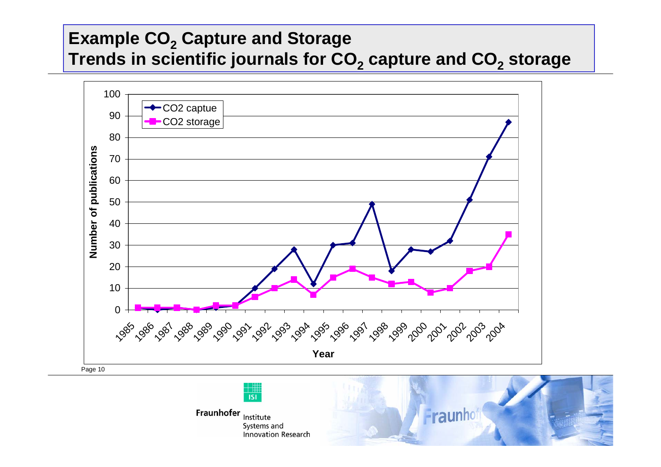### **Example CO2 Capture and Storage Trends in scientific journals for CO2 capture and CO2 storage**





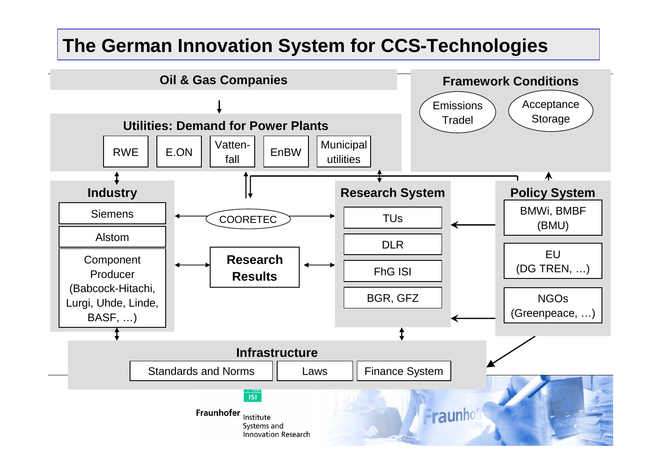### **The German Innovation System for CCS-Technologies**

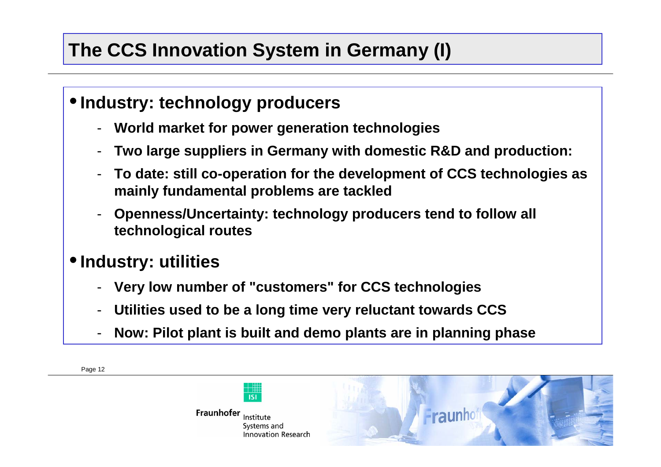# **The CCS Innovation System in Germany (I)**

#### •**Industry: technology producers**

- **World market for power generation technologies**
- -**Two large suppliers in Germany with domestic R&D and production:**
- - **To date: still co-operation for the development of CCS technologies as mainly fundamental problems are tackled**
- - **Openness/Uncertainty: technology producers tend to follow all technological routes**

### •**Industry: utilities**

Page 12

- **Very low number of "customers" for CCS technologies**
- -**Utilities used to be a long time very reluctant towards CCS**
- -**Now: Pilot plant is built and demo plants are in planning phase**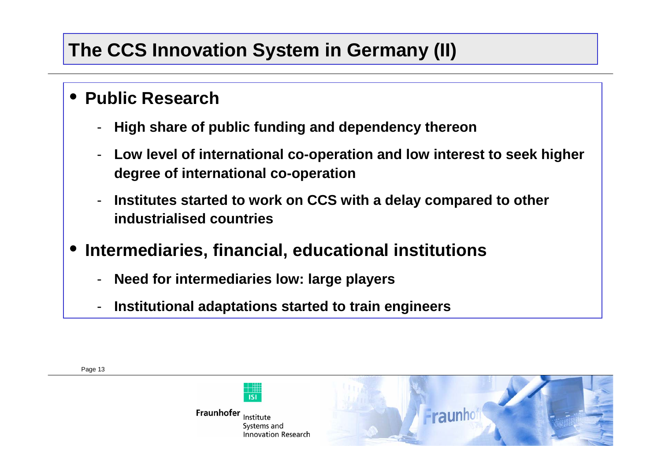## **The CCS Innovation System in Germany (II)**

#### • **Public Research**

- -**High share of public funding and dependency thereon**
- **Low level of international co-operation and low interest to seek higher degree of international co-operation**
- - **Institutes started to work on CCS with a delay compared to other industrialised countries**
- • **Intermediaries, financial, educational institutions**
	- -**Need for intermediaries low: large players**

Fraunhofer Institute

-**Institutional adaptations started to train engineers**



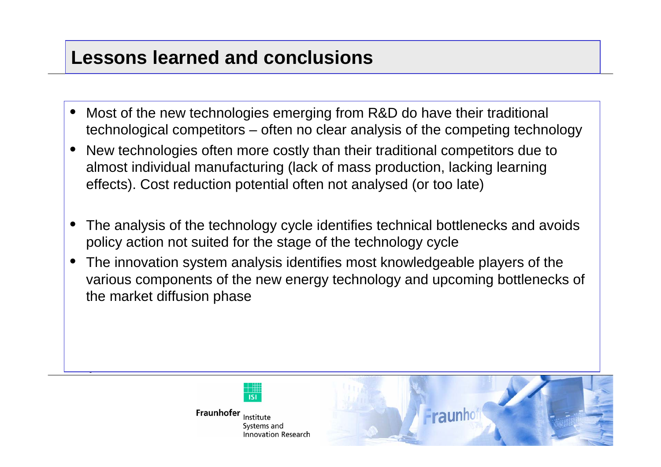### **Lessons learned and conclusions**

- • Most of the new technologies emerging from R&D do have their traditional technological competitors – often no clear analysis of the competing technology
- • New technologies often more costly than their traditional competitors due to almost individual manufacturing (lack of mass production, lacking learning effects). Cost reduction potential often not analysed (or too late)
- • The analysis of the technology cycle identifies technical bottlenecks and avoids policy action not suited for the stage of the technology cycle
- • The innovation system analysis identifies most knowledgeable players of the various components of the new energy technology and upcoming bottlenecks of the market diffusion phase



Page 14

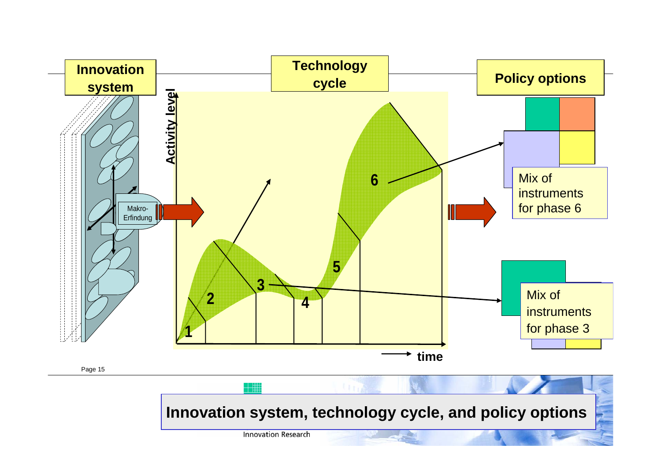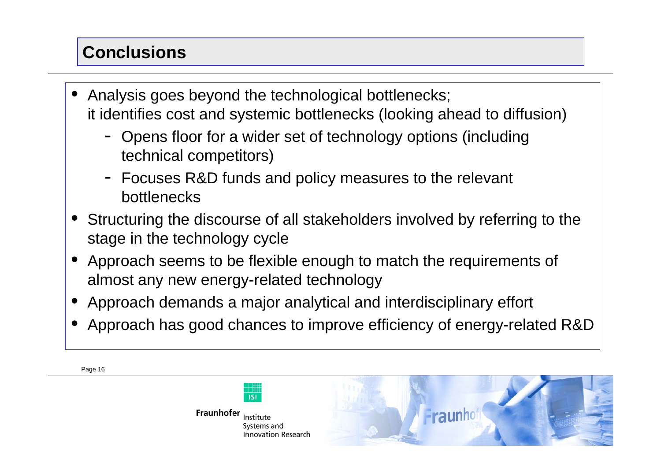## **Conclusions**

- • Analysis goes beyond the technological bottlenecks; it identifies cost and systemic bottlenecks (looking ahead to diffusion)
	- Opens floor for a wider set of technology options (including technical competitors)
	- Focuses R&D funds and policy measures to the relevant bottlenecks
- • Structuring the discourse of all stakeholders involved by referring to the stage in the technology cycle
- • Approach seems to be flexible enough to match the requirements of almost any new energy-related technology
- •Approach demands a major analytical and interdisciplinary effort
- •Approach has good chances to improve efficiency of energy-related R&D

Page 16



Systems and